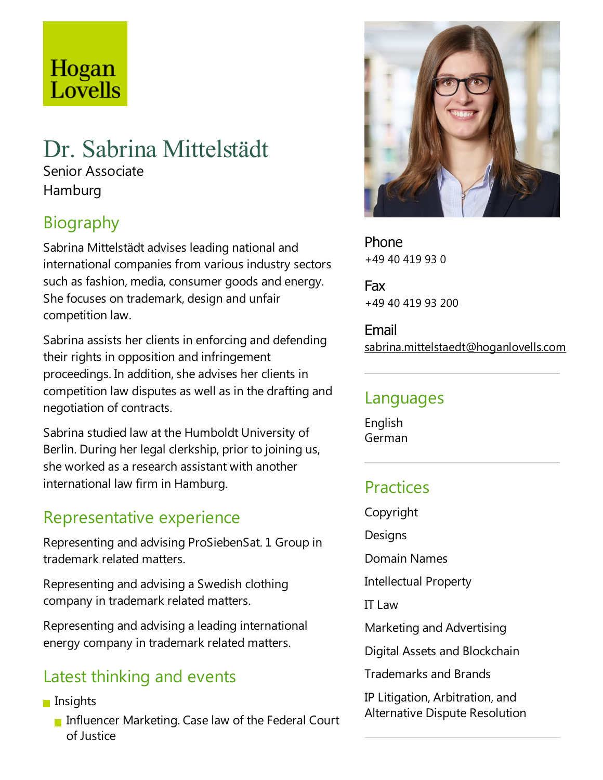# Hogan Lovells

## Dr. Sabrina Mittelstädt

Senior Associate Hamburg

## Biography

Sabrina Mittelstädt advises leading national and international companies from various industry sectors such as fashion, media, consumer goods and energy. She focuses on trademark, design and unfair competition law.

Sabrina assists her clients in enforcing and defending their rights in opposition and infringement proceedings. In addition, sheadvises her clients in competition law disputes as well as in the drafting and negotiation of contracts.

Sabrina studied law at the Humboldt University of Berlin. During her legal clerkship, prior to joining us, she worked as aresearch assistant with another international law firm in Hamburg.

## Representative experience

Representing and advising ProSiebenSat. 1 Group in trademark related matters.

Representing and advising a Swedish clothing company in trademark related matters.

Representing and advising aleading international energy company in trademark related matters.

## Latest thinking and events

- $\blacksquare$  Insights
	- Influencer Marketing. Case law of the Federal Court of Justice



Phone +49 40 419 93 0

Fax +49 40 419 93 200

Email sabrina.mittelstaedt@hoganlovells.com

## Languages

English German

## **Practices**

Copyright **Designs** 

Domain Names

Intellectual Property

IT Law

Marketing and Advertising

Digital Assets and Blockchain

Trademarks and Brands

IP Litigation, Arbitration, and Alternative Dispute Resolution